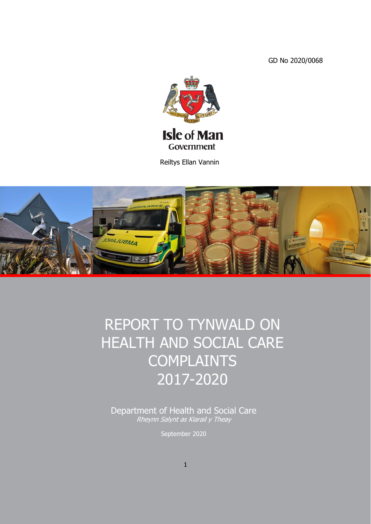GD No 2020/0068



Reiltys Ellan Vannin



# REPORT TO TYNWALD ON HEALTH AND SOCIAL CARE **COMPLAINTS** 2017-2020

Department of Health and Social Care Rheynn Salynt as Kiarail y Theay

September 2020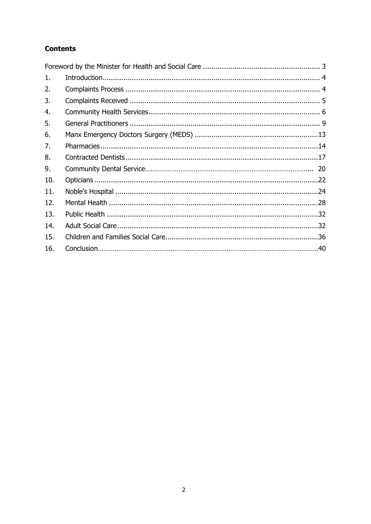### **Contents**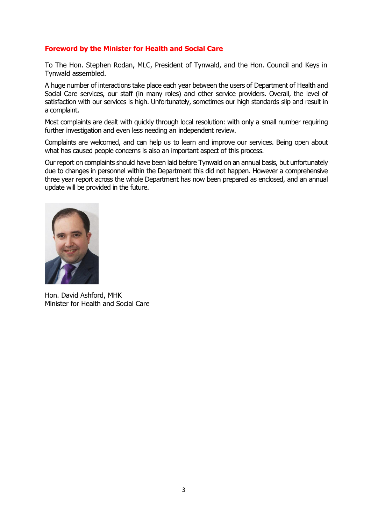### <span id="page-2-0"></span>**Foreword by the Minister for Health and Social Care**

To The Hon. Stephen Rodan, MLC, President of Tynwald, and the Hon. Council and Keys in Tynwald assembled.

A huge number of interactions take place each year between the users of Department of Health and Social Care services, our staff (in many roles) and other service providers. Overall, the level of satisfaction with our services is high. Unfortunately, sometimes our high standards slip and result in a complaint.

Most complaints are dealt with quickly through local resolution: with only a small number requiring further investigation and even less needing an independent review.

Complaints are welcomed, and can help us to learn and improve our services. Being open about what has caused people concerns is also an important aspect of this process.

Our report on complaints should have been laid before Tynwald on an annual basis, but unfortunately due to changes in personnel within the Department this did not happen. However a comprehensive three year report across the whole Department has now been prepared as enclosed, and an annual update will be provided in the future.



Hon. David Ashford, MHK Minister for Health and Social Care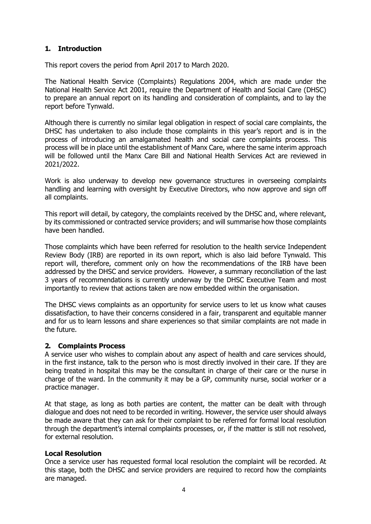### <span id="page-3-0"></span>**1. Introduction**

This report covers the period from April 2017 to March 2020.

The National Health Service (Complaints) Regulations 2004, which are made under the National Health Service Act 2001, require the Department of Health and Social Care (DHSC) to prepare an annual report on its handling and consideration of complaints, and to lay the report before Tynwald.

Although there is currently no similar legal obligation in respect of social care complaints, the DHSC has undertaken to also include those complaints in this year's report and is in the process of introducing an amalgamated health and social care complaints process. This process will be in place until the establishment of Manx Care, where the same interim approach will be followed until the Manx Care Bill and National Health Services Act are reviewed in 2021/2022.

Work is also underway to develop new governance structures in overseeing complaints handling and learning with oversight by Executive Directors, who now approve and sign off all complaints.

This report will detail, by category, the complaints received by the DHSC and, where relevant, by its commissioned or contracted service providers; and will summarise how those complaints have been handled.

Those complaints which have been referred for resolution to the health service Independent Review Body (IRB) are reported in its own report, which is also laid before Tynwald. This report will, therefore, comment only on how the recommendations of the IRB have been addressed by the DHSC and service providers. However, a summary reconciliation of the last 3 years of recommendations is currently underway by the DHSC Executive Team and most importantly to review that actions taken are now embedded within the organisation.

The DHSC views complaints as an opportunity for service users to let us know what causes dissatisfaction, to have their concerns considered in a fair, transparent and equitable manner and for us to learn lessons and share experiences so that similar complaints are not made in the future.

### <span id="page-3-1"></span>**2. Complaints Process**

A service user who wishes to complain about any aspect of health and care services should, in the first instance, talk to the person who is most directly involved in their care. If they are being treated in hospital this may be the consultant in charge of their care or the nurse in charge of the ward. In the community it may be a GP, community nurse, social worker or a practice manager.

At that stage, as long as both parties are content, the matter can be dealt with through dialogue and does not need to be recorded in writing. However, the service user should always be made aware that they can ask for their complaint to be referred for formal local resolution through the department's internal complaints processes, or, if the matter is still not resolved, for external resolution.

### **Local Resolution**

Once a service user has requested formal local resolution the complaint will be recorded. At this stage, both the DHSC and service providers are required to record how the complaints are managed.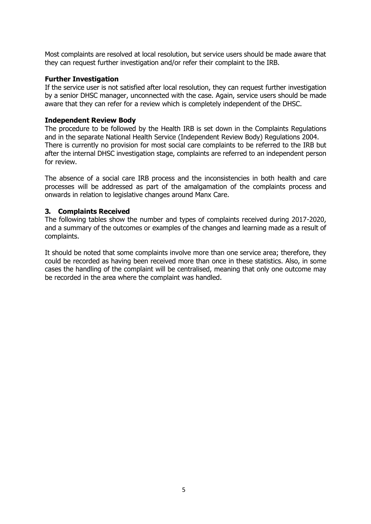Most complaints are resolved at local resolution, but service users should be made aware that they can request further investigation and/or refer their complaint to the IRB.

#### **Further Investigation**

If the service user is not satisfied after local resolution, they can request further investigation by a senior DHSC manager, unconnected with the case. Again, service users should be made aware that they can refer for a review which is completely independent of the DHSC.

### **Independent Review Body**

The procedure to be followed by the Health IRB is set down in the Complaints Regulations and in the separate National Health Service (Independent Review Body) Regulations 2004. There is currently no provision for most social care complaints to be referred to the IRB but after the internal DHSC investigation stage, complaints are referred to an independent person for review.

The absence of a social care IRB process and the inconsistencies in both health and care processes will be addressed as part of the amalgamation of the complaints process and onwards in relation to legislative changes around Manx Care.

### <span id="page-4-0"></span>**3. Complaints Received**

The following tables show the number and types of complaints received during 2017-2020, and a summary of the outcomes or examples of the changes and learning made as a result of complaints.

It should be noted that some complaints involve more than one service area; therefore, they could be recorded as having been received more than once in these statistics. Also, in some cases the handling of the complaint will be centralised, meaning that only one outcome may be recorded in the area where the complaint was handled.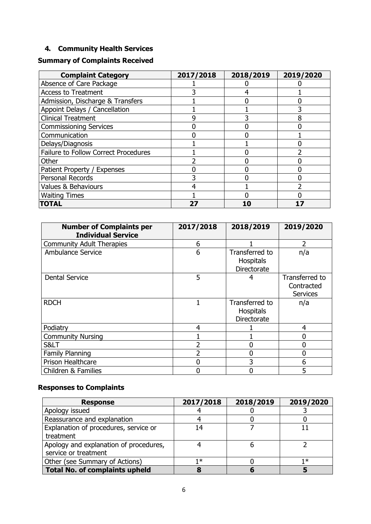# <span id="page-5-0"></span>**4. Community Health Services**

# **Summary of Complaints Received**

| <b>Complaint Category</b>                   | 2017/2018 | 2018/2019 | 2019/2020 |
|---------------------------------------------|-----------|-----------|-----------|
| Absence of Care Package                     |           |           |           |
| <b>Access to Treatment</b>                  |           |           |           |
| Admission, Discharge & Transfers            |           |           |           |
| Appoint Delays / Cancellation               |           |           |           |
| <b>Clinical Treatment</b>                   | 9         |           |           |
| <b>Commissioning Services</b>               |           |           |           |
| Communication                               |           |           |           |
| Delays/Diagnosis                            |           |           |           |
| <b>Failure to Follow Correct Procedures</b> |           |           |           |
| Other                                       |           |           |           |
| Patient Property / Expenses                 |           |           |           |
| Personal Records                            |           |           |           |
| <b>Values &amp; Behaviours</b>              |           |           |           |
| <b>Waiting Times</b>                        |           |           |           |
| TOTAL                                       | 27        | 10        |           |

| <b>Number of Complaints per</b><br><b>Individual Service</b> | 2017/2018 | 2018/2019                                         | 2019/2020                                       |
|--------------------------------------------------------------|-----------|---------------------------------------------------|-------------------------------------------------|
| <b>Community Adult Therapies</b>                             | 6         |                                                   | 2                                               |
| <b>Ambulance Service</b>                                     | 6         | Transferred to<br>Hospitals<br>Directorate        | n/a                                             |
| <b>Dental Service</b>                                        | 5         | 4                                                 | Transferred to<br>Contracted<br><b>Services</b> |
| <b>RDCH</b>                                                  |           | Transferred to<br>Hospitals<br><b>Directorate</b> | n/a                                             |
| Podiatry                                                     | 4         |                                                   | 4                                               |
| <b>Community Nursing</b>                                     |           |                                                   | 0                                               |
| S<                                                           |           |                                                   | 0                                               |
| Family Planning                                              |           |                                                   | 0                                               |
| Prison Healthcare                                            | 0         |                                                   | 6                                               |
| Children & Families                                          | 0         |                                                   | 5                                               |

# **Responses to Complaints**

| <b>Response</b>                                                | 2017/2018 | 2018/2019 | 2019/2020 |
|----------------------------------------------------------------|-----------|-----------|-----------|
| Apology issued                                                 |           |           |           |
| Reassurance and explanation                                    |           |           |           |
| Explanation of procedures, service or<br>treatment             | 14        |           |           |
| Apology and explanation of procedures,<br>service or treatment |           |           |           |
| Other (see Summary of Actions)                                 | 1 ≭       |           | 1*        |
| <b>Total No. of complaints upheld</b>                          |           |           |           |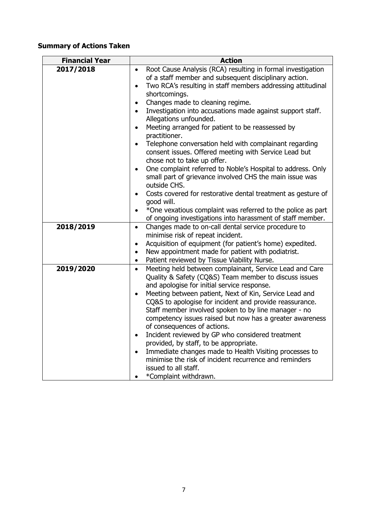# **Summary of Actions Taken**

| <b>Financial Year</b> | <b>Action</b>                                                            |
|-----------------------|--------------------------------------------------------------------------|
| 2017/2018             | Root Cause Analysis (RCA) resulting in formal investigation<br>$\bullet$ |
|                       | of a staff member and subsequent disciplinary action.                    |
|                       | Two RCA's resulting in staff members addressing attitudinal<br>$\bullet$ |
|                       | shortcomings.                                                            |
|                       | Changes made to cleaning regime.<br>$\bullet$                            |
|                       | Investigation into accusations made against support staff.<br>$\bullet$  |
|                       | Allegations unfounded.                                                   |
|                       | Meeting arranged for patient to be reassessed by<br>$\bullet$            |
|                       | practitioner.                                                            |
|                       | Telephone conversation held with complainant regarding<br>$\bullet$      |
|                       | consent issues. Offered meeting with Service Lead but                    |
|                       | chose not to take up offer.                                              |
|                       | One complaint referred to Noble's Hospital to address. Only<br>$\bullet$ |
|                       | small part of grievance involved CHS the main issue was                  |
|                       | outside CHS.                                                             |
|                       | Costs covered for restorative dental treatment as gesture of             |
|                       | good will.                                                               |
|                       | *One vexatious complaint was referred to the police as part<br>$\bullet$ |
|                       | of ongoing investigations into harassment of staff member.               |
| 2018/2019             | Changes made to on-call dental service procedure to<br>$\bullet$         |
|                       | minimise risk of repeat incident.                                        |
|                       | Acquisition of equipment (for patient's home) expedited.<br>$\bullet$    |
|                       | New appointment made for patient with podiatrist.<br>$\bullet$           |
|                       | Patient reviewed by Tissue Viability Nurse.<br>$\bullet$                 |
| 2019/2020             | Meeting held between complainant, Service Lead and Care<br>$\bullet$     |
|                       | Quality & Safety (CQ&S) Team member to discuss issues                    |
|                       | and apologise for initial service response.                              |
|                       | Meeting between patient, Next of Kin, Service Lead and<br>$\bullet$      |
|                       | CQ&S to apologise for incident and provide reassurance.                  |
|                       | Staff member involved spoken to by line manager - no                     |
|                       | competency issues raised but now has a greater awareness                 |
|                       | of consequences of actions.                                              |
|                       | Incident reviewed by GP who considered treatment<br>$\bullet$            |
|                       | provided, by staff, to be appropriate.                                   |
|                       | Immediate changes made to Health Visiting processes to<br>$\bullet$      |
|                       | minimise the risk of incident recurrence and reminders                   |
|                       | issued to all staff.                                                     |
|                       | *Complaint withdrawn.                                                    |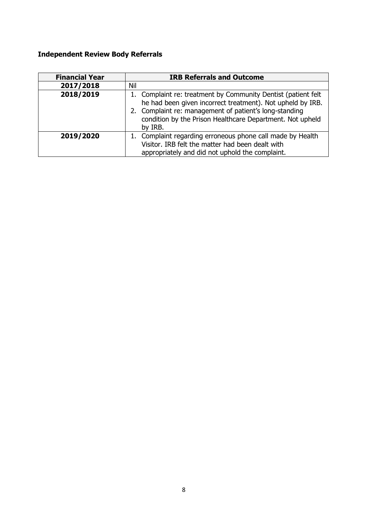| <b>Financial Year</b> | <b>IRB Referrals and Outcome</b>                                                                                                                                                                                                                           |
|-----------------------|------------------------------------------------------------------------------------------------------------------------------------------------------------------------------------------------------------------------------------------------------------|
| 2017/2018             | Nil                                                                                                                                                                                                                                                        |
| 2018/2019             | Complaint re: treatment by Community Dentist (patient felt<br>he had been given incorrect treatment). Not upheld by IRB.<br>2. Complaint re: management of patient's long-standing<br>condition by the Prison Healthcare Department. Not upheld<br>by IRB. |
| 2019/2020             | Complaint regarding erroneous phone call made by Health<br>Visitor. IRB felt the matter had been dealt with<br>appropriately and did not uphold the complaint.                                                                                             |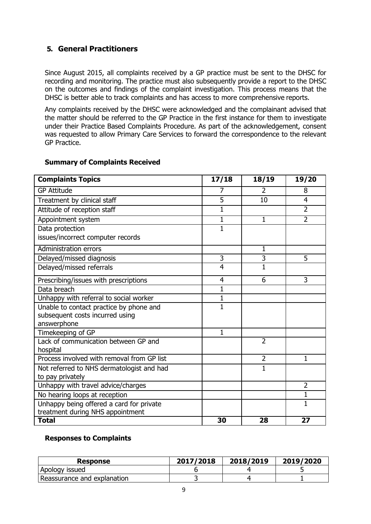# <span id="page-8-0"></span>**5. General Practitioners**

Since August 2015, all complaints received by a GP practice must be sent to the DHSC for recording and monitoring. The practice must also subsequently provide a report to the DHSC on the outcomes and findings of the complaint investigation. This process means that the DHSC is better able to track complaints and has access to more comprehensive reports.

Any complaints received by the DHSC were acknowledged and the complainant advised that the matter should be referred to the GP Practice in the first instance for them to investigate under their Practice Based Complaints Procedure. As part of the acknowledgement, consent was requested to allow Primary Care Services to forward the correspondence to the relevant GP Practice.

| <b>Complaints Topics</b>                   | 17/18          | 18/19          | 19/20          |
|--------------------------------------------|----------------|----------------|----------------|
| <b>GP Attitude</b>                         | 7              | $\overline{2}$ | 8              |
| Treatment by clinical staff                | 5              | 10             | $\overline{4}$ |
| Attitude of reception staff                | 1              |                | $\overline{2}$ |
| Appointment system                         | 1              | $\mathbf{1}$   | $\overline{2}$ |
| Data protection                            | $\mathbf{1}$   |                |                |
| issues/incorrect computer records          |                |                |                |
| <b>Administration errors</b>               |                | $\mathbf{1}$   |                |
| Delayed/missed diagnosis                   | $\overline{3}$ | $\overline{3}$ | 5              |
| Delayed/missed referrals                   | $\overline{4}$ | $\overline{1}$ |                |
| Prescribing/issues with prescriptions      | $\overline{4}$ | 6              | 3              |
| Data breach                                | $\mathbf{1}$   |                |                |
| Unhappy with referral to social worker     | $\mathbf{1}$   |                |                |
| Unable to contact practice by phone and    | $\mathbf{1}$   |                |                |
| subsequent costs incurred using            |                |                |                |
| answerphone                                |                |                |                |
| Timekeeping of GP                          | $\mathbf 1$    |                |                |
| Lack of communication between GP and       |                | $\overline{2}$ |                |
| hospital                                   |                |                |                |
| Process involved with removal from GP list |                | $\overline{2}$ | 1              |
| Not referred to NHS dermatologist and had  |                | $\mathbf{1}$   |                |
| to pay privately                           |                |                |                |
| Unhappy with travel advice/charges         |                |                | $\overline{2}$ |
| No hearing loops at reception              |                |                | $\mathbf{1}$   |
| Unhappy being offered a card for private   |                |                | $\mathbf{1}$   |
| treatment during NHS appointment           |                |                |                |
| <b>Total</b>                               | 30             | 28             | 27             |

### **Summary of Complaints Received**

### **Responses to Complaints**

| <b>Response</b>             | 2017/2018 | 2018/2019 | 2019/2020 |
|-----------------------------|-----------|-----------|-----------|
| Apology issued              |           |           |           |
| Reassurance and explanation |           |           |           |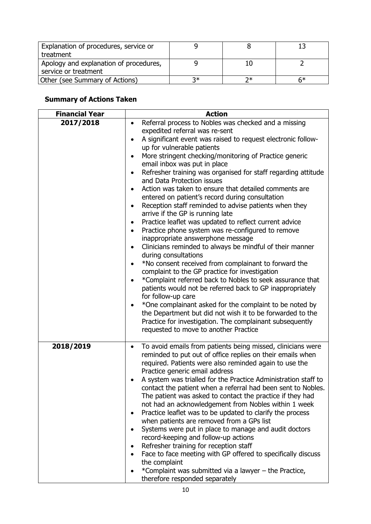| Explanation of procedures, service or  |    |    |    |
|----------------------------------------|----|----|----|
| treatment                              |    |    |    |
| Apology and explanation of procedures, |    |    |    |
| service or treatment                   |    |    |    |
| Other (see Summary of Actions)         | ว∗ | ว∗ | 6* |

### **Summary of Actions Taken**

| <b>Financial Year</b> | <b>Action</b>                                                                                                                                                                                                                                                                                                                                                                                                                                                                                                                                                                                                                                                                                                                                                                                                                                                                                                                                                                                                                                                                                                                                                                                                                                                                                                                                                                                                                                                                     |
|-----------------------|-----------------------------------------------------------------------------------------------------------------------------------------------------------------------------------------------------------------------------------------------------------------------------------------------------------------------------------------------------------------------------------------------------------------------------------------------------------------------------------------------------------------------------------------------------------------------------------------------------------------------------------------------------------------------------------------------------------------------------------------------------------------------------------------------------------------------------------------------------------------------------------------------------------------------------------------------------------------------------------------------------------------------------------------------------------------------------------------------------------------------------------------------------------------------------------------------------------------------------------------------------------------------------------------------------------------------------------------------------------------------------------------------------------------------------------------------------------------------------------|
| 2017/2018             | Referral process to Nobles was checked and a missing<br>$\bullet$<br>expedited referral was re-sent<br>A significant event was raised to request electronic follow-<br>$\bullet$<br>up for vulnerable patients<br>More stringent checking/monitoring of Practice generic<br>$\bullet$<br>email inbox was put in place<br>Refresher training was organised for staff regarding attitude<br>$\bullet$<br>and Data Protection issues<br>Action was taken to ensure that detailed comments are<br>$\bullet$<br>entered on patient's record during consultation<br>Reception staff reminded to advise patients when they<br>$\bullet$<br>arrive if the GP is running late<br>Practice leaflet was updated to reflect current advice<br>$\bullet$<br>Practice phone system was re-configured to remove<br>$\bullet$<br>inappropriate answerphone message<br>Clinicians reminded to always be mindful of their manner<br>$\bullet$<br>during consultations<br>*No consent received from complainant to forward the<br>$\bullet$<br>complaint to the GP practice for investigation<br>*Complaint referred back to Nobles to seek assurance that<br>$\bullet$<br>patients would not be referred back to GP inappropriately<br>for follow-up care<br>*One complainant asked for the complaint to be noted by<br>$\bullet$<br>the Department but did not wish it to be forwarded to the<br>Practice for investigation. The complainant subsequently<br>requested to move to another Practice |
| 2018/2019             | To avoid emails from patients being missed, clinicians were<br>$\bullet$<br>reminded to put out of office replies on their emails when<br>required. Patients were also reminded again to use the<br>Practice generic email address<br>A system was trialled for the Practice Administration staff to<br>contact the patient when a referral had been sent to Nobles.<br>The patient was asked to contact the practice if they had<br>not had an acknowledgement from Nobles within 1 week<br>Practice leaflet was to be updated to clarify the process<br>$\bullet$<br>when patients are removed from a GPs list<br>Systems were put in place to manage and audit doctors<br>$\bullet$<br>record-keeping and follow-up actions<br>Refresher training for reception staff<br>$\bullet$<br>Face to face meeting with GP offered to specifically discuss<br>$\bullet$<br>the complaint<br>*Complaint was submitted via a lawyer – the Practice,<br>therefore responded separately                                                                                                                                                                                                                                                                                                                                                                                                                                                                                                    |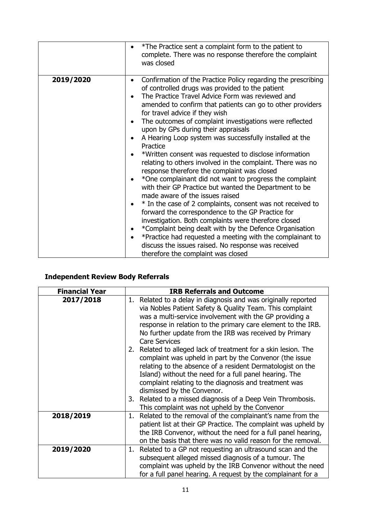|           | *The Practice sent a complaint form to the patient to<br>$\bullet$<br>complete. There was no response therefore the complaint<br>was closed                                                                                                                                                                                                                                                                                                                                                                                                                                                                                                                                                                                                                                                                                                                                                                                                                                                                                                                                                                                                                                                                                                                             |
|-----------|-------------------------------------------------------------------------------------------------------------------------------------------------------------------------------------------------------------------------------------------------------------------------------------------------------------------------------------------------------------------------------------------------------------------------------------------------------------------------------------------------------------------------------------------------------------------------------------------------------------------------------------------------------------------------------------------------------------------------------------------------------------------------------------------------------------------------------------------------------------------------------------------------------------------------------------------------------------------------------------------------------------------------------------------------------------------------------------------------------------------------------------------------------------------------------------------------------------------------------------------------------------------------|
| 2019/2020 | Confirmation of the Practice Policy regarding the prescribing<br>$\bullet$<br>of controlled drugs was provided to the patient<br>The Practice Travel Advice Form was reviewed and<br>$\bullet$<br>amended to confirm that patients can go to other providers<br>for travel advice if they wish<br>The outcomes of complaint investigations were reflected<br>$\bullet$<br>upon by GPs during their appraisals<br>A Hearing Loop system was successfully installed at the<br>$\bullet$<br>Practice<br>*Written consent was requested to disclose information<br>relating to others involved in the complaint. There was no<br>response therefore the complaint was closed<br>*One complainant did not want to progress the complaint<br>$\bullet$<br>with their GP Practice but wanted the Department to be<br>made aware of the issues raised<br>* In the case of 2 complaints, consent was not received to<br>$\bullet$<br>forward the correspondence to the GP Practice for<br>investigation. Both complaints were therefore closed<br>*Complaint being dealt with by the Defence Organisation<br>*Practice had requested a meeting with the complainant to<br>$\bullet$<br>discuss the issues raised. No response was received<br>therefore the complaint was closed |

| <b>Financial Year</b> | <b>IRB Referrals and Outcome</b>                                                                                                                                                                                                                                                                                                                                                                                                                                                                                                                                                                                                                                                                                                                                                                       |
|-----------------------|--------------------------------------------------------------------------------------------------------------------------------------------------------------------------------------------------------------------------------------------------------------------------------------------------------------------------------------------------------------------------------------------------------------------------------------------------------------------------------------------------------------------------------------------------------------------------------------------------------------------------------------------------------------------------------------------------------------------------------------------------------------------------------------------------------|
| 2017/2018             | 1. Related to a delay in diagnosis and was originally reported<br>via Nobles Patient Safety & Quality Team. This complaint<br>was a multi-service involvement with the GP providing a<br>response in relation to the primary care element to the IRB.<br>No further update from the IRB was received by Primary<br><b>Care Services</b><br>2. Related to alleged lack of treatment for a skin lesion. The<br>complaint was upheld in part by the Convenor (the issue<br>relating to the absence of a resident Dermatologist on the<br>Island) without the need for a full panel hearing. The<br>complaint relating to the diagnosis and treatment was<br>dismissed by the Convenor.<br>Related to a missed diagnosis of a Deep Vein Thrombosis.<br>3.<br>This complaint was not upheld by the Convenor |
| 2018/2019             | Related to the removal of the complainant's name from the<br>1.<br>patient list at their GP Practice. The complaint was upheld by<br>the IRB Convenor, without the need for a full panel hearing,<br>on the basis that there was no valid reason for the removal.                                                                                                                                                                                                                                                                                                                                                                                                                                                                                                                                      |
| 2019/2020             | 1. Related to a GP not requesting an ultrasound scan and the<br>subsequent alleged missed diagnosis of a tumour. The<br>complaint was upheld by the IRB Convenor without the need<br>for a full panel hearing. A request by the complainant for a                                                                                                                                                                                                                                                                                                                                                                                                                                                                                                                                                      |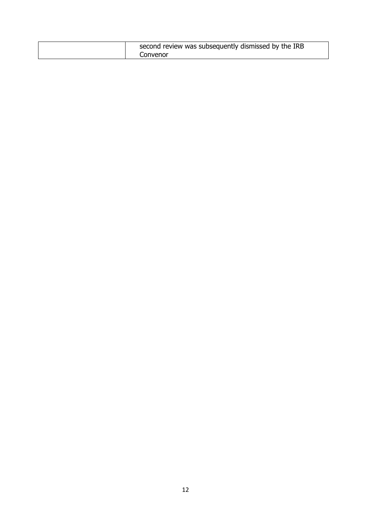| second review was subsequently dismissed by the IRB |
|-----------------------------------------------------|
| Convenor                                            |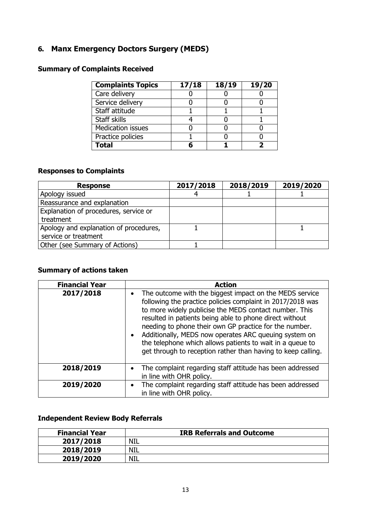# <span id="page-12-0"></span>**6. Manx Emergency Doctors Surgery (MEDS)**

# **Summary of Complaints Received**

| <b>Complaints Topics</b> | 17/18 | 18/19 | 19/20 |
|--------------------------|-------|-------|-------|
| Care delivery            |       |       |       |
| Service delivery         |       |       |       |
| Staff attitude           |       |       |       |
| Staff skills             |       |       |       |
| <b>Medication issues</b> |       |       |       |
| Practice policies        |       |       |       |
| Total                    |       |       |       |

# **Responses to Complaints**

| <b>Response</b>                        | 2017/2018 | 2018/2019 | 2019/2020 |
|----------------------------------------|-----------|-----------|-----------|
| Apology issued                         |           |           |           |
| Reassurance and explanation            |           |           |           |
| Explanation of procedures, service or  |           |           |           |
| treatment                              |           |           |           |
| Apology and explanation of procedures, |           |           |           |
| service or treatment                   |           |           |           |
| Other (see Summary of Actions)         |           |           |           |

### **Summary of actions taken**

| <b>Financial Year</b> | <b>Action</b>                                                                                                                                                                                                                                                                                                                                                                                                                                                                                                        |
|-----------------------|----------------------------------------------------------------------------------------------------------------------------------------------------------------------------------------------------------------------------------------------------------------------------------------------------------------------------------------------------------------------------------------------------------------------------------------------------------------------------------------------------------------------|
| 2017/2018             | The outcome with the biggest impact on the MEDS service<br>$\bullet$<br>following the practice policies complaint in 2017/2018 was<br>to more widely publicise the MEDS contact number. This<br>resulted in patients being able to phone direct without<br>needing to phone their own GP practice for the number.<br>Additionally, MEDS now operates ARC queuing system on<br>$\bullet$<br>the telephone which allows patients to wait in a queue to<br>get through to reception rather than having to keep calling. |
| 2018/2019             | The complaint regarding staff attitude has been addressed<br>$\bullet$<br>in line with OHR policy.                                                                                                                                                                                                                                                                                                                                                                                                                   |
| 2019/2020             | The complaint regarding staff attitude has been addressed<br>in line with OHR policy.                                                                                                                                                                                                                                                                                                                                                                                                                                |

| <b>Financial Year</b> | <b>IRB Referrals and Outcome</b> |
|-----------------------|----------------------------------|
| 2017/2018             | NIL                              |
| 2018/2019             | <b>NIL</b>                       |
| 2019/2020             | NIL                              |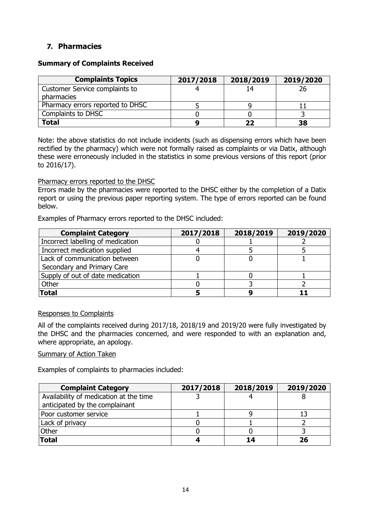# **7. Pharmacies**

### **Summary of Complaints Received**

| <b>Complaints Topics</b>         | 2017/2018 | 2018/2019 | 2019/2020 |
|----------------------------------|-----------|-----------|-----------|
| Customer Service complaints to   |           | 14        | 26        |
| pharmacies                       |           |           |           |
| Pharmacy errors reported to DHSC |           |           |           |
| <b>Complaints to DHSC</b>        |           |           |           |
| Total                            |           | 22        | 38        |

Note: the above statistics do not include incidents (such as dispensing errors which have been rectified by the pharmacy) which were not formally raised as complaints or via Datix, although these were erroneously included in the statistics in some previous versions of this report (prior to 2016/17).

### Pharmacy errors reported to the DHSC

Errors made by the pharmacies were reported to the DHSC either by the completion of a Datix report or using the previous paper reporting system. The type of errors reported can be found below.

Examples of Pharmacy errors reported to the DHSC included:

| <b>Complaint Category</b>         | 2017/2018 | 2018/2019 | 2019/2020 |
|-----------------------------------|-----------|-----------|-----------|
| Incorrect labelling of medication |           |           |           |
| Incorrect medication supplied     |           |           |           |
| Lack of communication between     |           |           |           |
| Secondary and Primary Care        |           |           |           |
| Supply of out of date medication  |           |           |           |
| Other                             |           |           |           |
| Total                             |           |           |           |

### Responses to Complaints

All of the complaints received during 2017/18, 2018/19 and 2019/20 were fully investigated by the DHSC and the pharmacies concerned, and were responded to with an explanation and, where appropriate, an apology.

Summary of Action Taken

Examples of complaints to pharmacies included:

| <b>Complaint Category</b>                                                | 2017/2018 | 2018/2019 | 2019/2020 |
|--------------------------------------------------------------------------|-----------|-----------|-----------|
| Availability of medication at the time<br>anticipated by the complainant |           |           |           |
| Poor customer service                                                    |           |           |           |
| Lack of privacy                                                          |           |           |           |
| Other                                                                    |           |           |           |
| Total                                                                    |           |           | 26        |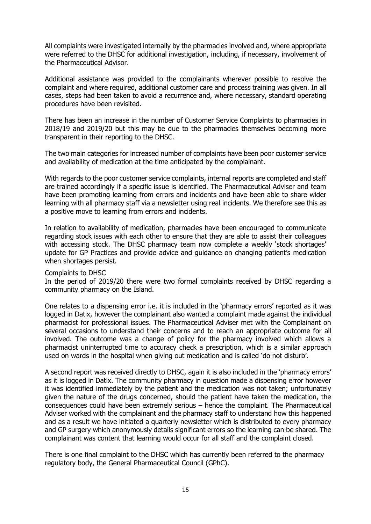All complaints were investigated internally by the pharmacies involved and, where appropriate were referred to the DHSC for additional investigation, including, if necessary, involvement of the Pharmaceutical Advisor.

Additional assistance was provided to the complainants wherever possible to resolve the complaint and where required, additional customer care and process training was given. In all cases, steps had been taken to avoid a recurrence and, where necessary, standard operating procedures have been revisited.

There has been an increase in the number of Customer Service Complaints to pharmacies in 2018/19 and 2019/20 but this may be due to the pharmacies themselves becoming more transparent in their reporting to the DHSC.

The two main categories for increased number of complaints have been poor customer service and availability of medication at the time anticipated by the complainant.

With regards to the poor customer service complaints, internal reports are completed and staff are trained accordingly if a specific issue is identified. The Pharmaceutical Adviser and team have been promoting learning from errors and incidents and have been able to share wider learning with all pharmacy staff via a newsletter using real incidents. We therefore see this as a positive move to learning from errors and incidents.

In relation to availability of medication, pharmacies have been encouraged to communicate regarding stock issues with each other to ensure that they are able to assist their colleagues with accessing stock. The DHSC pharmacy team now complete a weekly 'stock shortages' update for GP Practices and provide advice and guidance on changing patient's medication when shortages persist.

### Complaints to DHSC

In the period of 2019/20 there were two formal complaints received by DHSC regarding a community pharmacy on the Island.

One relates to a dispensing error i.e. it is included in the 'pharmacy errors' reported as it was logged in Datix, however the complainant also wanted a complaint made against the individual pharmacist for professional issues. The Pharmaceutical Adviser met with the Complainant on several occasions to understand their concerns and to reach an appropriate outcome for all involved. The outcome was a change of policy for the pharmacy involved which allows a pharmacist uninterrupted time to accuracy check a prescription, which is a similar approach used on wards in the hospital when giving out medication and is called 'do not disturb'.

A second report was received directly to DHSC, again it is also included in the 'pharmacy errors' as it is logged in Datix. The community pharmacy in question made a dispensing error however it was identified immediately by the patient and the medication was not taken; unfortunately given the nature of the drugs concerned, should the patient have taken the medication, the consequences could have been extremely serious – hence the complaint. The Pharmaceutical Adviser worked with the complainant and the pharmacy staff to understand how this happened and as a result we have initiated a quarterly newsletter which is distributed to every pharmacy and GP surgery which anonymously details significant errors so the learning can be shared. The complainant was content that learning would occur for all staff and the complaint closed.

There is one final complaint to the DHSC which has currently been referred to the pharmacy regulatory body, the General Pharmaceutical Council (GPhC).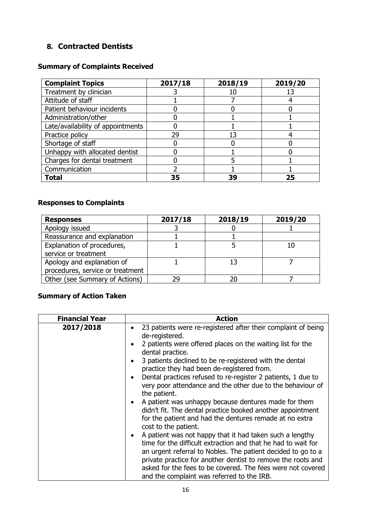# <span id="page-15-0"></span>**8. Contracted Dentists**

### **Summary of Complaints Received**

| <b>Complaint Topics</b>           | 2017/18 | 2018/19 | 2019/20 |
|-----------------------------------|---------|---------|---------|
| Treatment by clinician            |         |         |         |
| Attitude of staff                 |         |         |         |
| Patient behaviour incidents       |         |         |         |
| Administration/other              |         |         |         |
| Late/availability of appointments |         |         |         |
| Practice policy                   | 29      | 13      |         |
| Shortage of staff                 |         |         |         |
| Unhappy with allocated dentist    |         |         |         |
| Charges for dental treatment      |         |         |         |
| Communication                     |         |         |         |
| Total                             | 35      | 39      |         |

# **Responses to Complaints**

| <b>Responses</b>                 | 2017/18 | 2018/19 | 2019/20 |
|----------------------------------|---------|---------|---------|
| Apology issued                   |         |         |         |
| Reassurance and explanation      |         |         |         |
| Explanation of procedures,       |         |         |         |
| service or treatment             |         |         |         |
| Apology and explanation of       |         |         |         |
| procedures, service or treatment |         |         |         |
| Other (see Summary of Actions)   | 29      |         |         |

# **Summary of Action Taken**

| <b>Financial Year</b> | <b>Action</b>                                                                                                                                                                                                                                                                                                                                                                       |
|-----------------------|-------------------------------------------------------------------------------------------------------------------------------------------------------------------------------------------------------------------------------------------------------------------------------------------------------------------------------------------------------------------------------------|
| 2017/2018             | 23 patients were re-registered after their complaint of being<br>٠<br>de-registered.                                                                                                                                                                                                                                                                                                |
|                       | 2 patients were offered places on the waiting list for the<br>٠<br>dental practice.                                                                                                                                                                                                                                                                                                 |
|                       | 3 patients declined to be re-registered with the dental<br>$\bullet$<br>practice they had been de-registered from.                                                                                                                                                                                                                                                                  |
|                       | Dental practices refused to re-register 2 patients, 1 due to<br>٠<br>very poor attendance and the other due to the behaviour of<br>the patient.                                                                                                                                                                                                                                     |
|                       | A patient was unhappy because dentures made for them<br>$\bullet$<br>didn't fit. The dental practice booked another appointment<br>for the patient and had the dentures remade at no extra<br>cost to the patient.                                                                                                                                                                  |
|                       | A patient was not happy that it had taken such a lengthy<br>$\bullet$<br>time for the difficult extraction and that he had to wait for<br>an urgent referral to Nobles. The patient decided to go to a<br>private practice for another dentist to remove the roots and<br>asked for the fees to be covered. The fees were not covered<br>and the complaint was referred to the IRB. |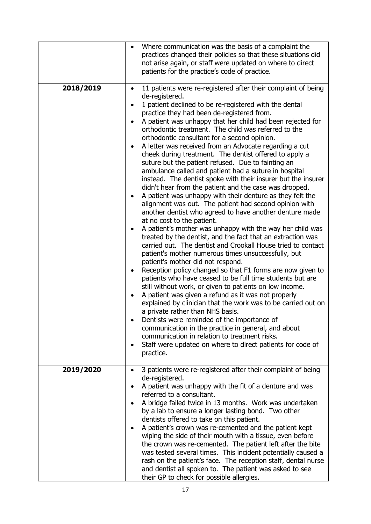|           | Where communication was the basis of a complaint the<br>practices changed their policies so that these situations did<br>not arise again, or staff were updated on where to direct<br>patients for the practice's code of practice.                                                                                                                                                                                                                                                                                                                                                                                                                                                                                                                                                                                                                                                                                                                                                                                                                                                                                                                                                                                                                                                                                                                                                                                                                                                                                                                                                                                                                                                                                                                                                                                                                                 |
|-----------|---------------------------------------------------------------------------------------------------------------------------------------------------------------------------------------------------------------------------------------------------------------------------------------------------------------------------------------------------------------------------------------------------------------------------------------------------------------------------------------------------------------------------------------------------------------------------------------------------------------------------------------------------------------------------------------------------------------------------------------------------------------------------------------------------------------------------------------------------------------------------------------------------------------------------------------------------------------------------------------------------------------------------------------------------------------------------------------------------------------------------------------------------------------------------------------------------------------------------------------------------------------------------------------------------------------------------------------------------------------------------------------------------------------------------------------------------------------------------------------------------------------------------------------------------------------------------------------------------------------------------------------------------------------------------------------------------------------------------------------------------------------------------------------------------------------------------------------------------------------------|
| 2018/2019 | 11 patients were re-registered after their complaint of being<br>$\bullet$<br>de-registered.<br>1 patient declined to be re-registered with the dental<br>practice they had been de-registered from.<br>A patient was unhappy that her child had been rejected for<br>orthodontic treatment. The child was referred to the<br>orthodontic consultant for a second opinion.<br>A letter was received from an Advocate regarding a cut<br>$\bullet$<br>cheek during treatment. The dentist offered to apply a<br>suture but the patient refused. Due to fainting an<br>ambulance called and patient had a suture in hospital<br>instead. The dentist spoke with their insurer but the insurer<br>didn't hear from the patient and the case was dropped.<br>A patient was unhappy with their denture as they felt the<br>$\bullet$<br>alignment was out. The patient had second opinion with<br>another dentist who agreed to have another denture made<br>at no cost to the patient.<br>A patient's mother was unhappy with the way her child was<br>treated by the dentist, and the fact that an extraction was<br>carried out. The dentist and Crookall House tried to contact<br>patient's mother numerous times unsuccessfully, but<br>patient's mother did not respond.<br>Reception policy changed so that F1 forms are now given to<br>patients who have ceased to be full time students but are<br>still without work, or given to patients on low income.<br>A patient was given a refund as it was not properly<br>explained by clinician that the work was to be carried out on<br>a private rather than NHS basis.<br>Dentists were reminded of the importance of<br>communication in the practice in general, and about<br>communication in relation to treatment risks.<br>Staff were updated on where to direct patients for code of<br>٠<br>practice. |
| 2019/2020 | 3 patients were re-registered after their complaint of being<br>$\bullet$<br>de-registered.<br>A patient was unhappy with the fit of a denture and was<br>referred to a consultant.<br>A bridge failed twice in 13 months. Work was undertaken<br>$\bullet$<br>by a lab to ensure a longer lasting bond. Two other<br>dentists offered to take on this patient.<br>A patient's crown was re-cemented and the patient kept<br>wiping the side of their mouth with a tissue, even before<br>the crown was re-cemented. The patient left after the bite<br>was tested several times. This incident potentially caused a<br>rash on the patient's face. The reception staff, dental nurse                                                                                                                                                                                                                                                                                                                                                                                                                                                                                                                                                                                                                                                                                                                                                                                                                                                                                                                                                                                                                                                                                                                                                                               |
|           | and dentist all spoken to. The patient was asked to see<br>their GP to check for possible allergies.                                                                                                                                                                                                                                                                                                                                                                                                                                                                                                                                                                                                                                                                                                                                                                                                                                                                                                                                                                                                                                                                                                                                                                                                                                                                                                                                                                                                                                                                                                                                                                                                                                                                                                                                                                |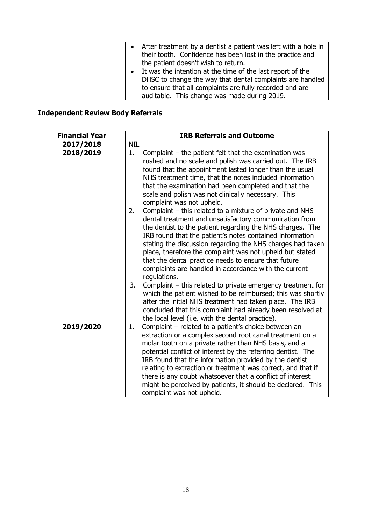| After treatment by a dentist a patient was left with a hole in<br>their tooth. Confidence has been lost in the practice and<br>the patient doesn't wish to return.<br>It was the intention at the time of the last report of the<br>$\bullet$ |  |
|-----------------------------------------------------------------------------------------------------------------------------------------------------------------------------------------------------------------------------------------------|--|
| DHSC to change the way that dental complaints are handled<br>to ensure that all complaints are fully recorded and are<br>auditable. This change was made during 2019.                                                                         |  |

| <b>Financial Year</b> | <b>IRB Referrals and Outcome</b>                                                                                                                                                                                                                                                                                                                                                                                                                                                                                                                                                                                                                                                                            |
|-----------------------|-------------------------------------------------------------------------------------------------------------------------------------------------------------------------------------------------------------------------------------------------------------------------------------------------------------------------------------------------------------------------------------------------------------------------------------------------------------------------------------------------------------------------------------------------------------------------------------------------------------------------------------------------------------------------------------------------------------|
| 2017/2018             | <b>NIL</b>                                                                                                                                                                                                                                                                                                                                                                                                                                                                                                                                                                                                                                                                                                  |
| 2018/2019             | 1.<br>Complaint - the patient felt that the examination was<br>rushed and no scale and polish was carried out. The IRB<br>found that the appointment lasted longer than the usual<br>NHS treatment time, that the notes included information<br>that the examination had been completed and that the<br>scale and polish was not clinically necessary. This<br>complaint was not upheld.<br>Complaint – this related to a mixture of private and NHS<br>2.<br>dental treatment and unsatisfactory communication from<br>the dentist to the patient regarding the NHS charges. The<br>IRB found that the patient's notes contained information<br>stating the discussion regarding the NHS charges had taken |
|                       | place, therefore the complaint was not upheld but stated<br>that the dental practice needs to ensure that future<br>complaints are handled in accordance with the current<br>regulations.<br>3.<br>Complaint – this related to private emergency treatment for<br>which the patient wished to be reimbursed; this was shortly<br>after the initial NHS treatment had taken place. The IRB<br>concluded that this complaint had already been resolved at<br>the local level (i.e. with the dental practice).                                                                                                                                                                                                 |
| 2019/2020             | Complaint – related to a patient's choice between an<br>1.<br>extraction or a complex second root canal treatment on a<br>molar tooth on a private rather than NHS basis, and a<br>potential conflict of interest by the referring dentist. The<br>IRB found that the information provided by the dentist<br>relating to extraction or treatment was correct, and that if<br>there is any doubt whatsoever that a conflict of interest<br>might be perceived by patients, it should be declared. This<br>complaint was not upheld.                                                                                                                                                                          |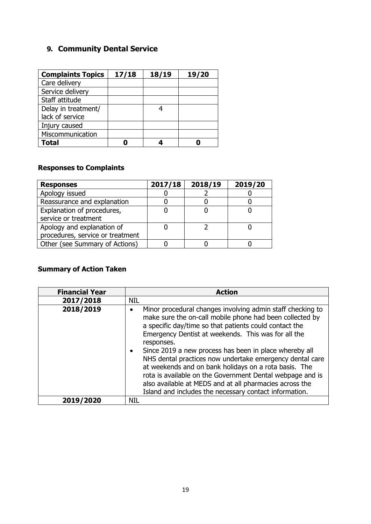# <span id="page-18-0"></span>**9. Community Dental Service**

| <b>Complaints Topics</b> | 17/18 | 18/19 | 19/20 |
|--------------------------|-------|-------|-------|
| Care delivery            |       |       |       |
| Service delivery         |       |       |       |
| Staff attitude           |       |       |       |
| Delay in treatment/      |       |       |       |
| lack of service          |       |       |       |
| Injury caused            |       |       |       |
| Miscommunication         |       |       |       |
| Total                    |       |       |       |

# **Responses to Complaints**

| <b>Responses</b>                 | 2017/18 | 2018/19 | 2019/20 |
|----------------------------------|---------|---------|---------|
| Apology issued                   |         |         |         |
| Reassurance and explanation      |         |         |         |
| Explanation of procedures,       |         |         |         |
| service or treatment             |         |         |         |
| Apology and explanation of       |         |         |         |
| procedures, service or treatment |         |         |         |
| Other (see Summary of Actions)   |         |         |         |

# **Summary of Action Taken**

| <b>Financial Year</b> | <b>Action</b>                                                                                                                                                                                                                                                                                                                                                                                                                                                                                                                                                                                                          |
|-----------------------|------------------------------------------------------------------------------------------------------------------------------------------------------------------------------------------------------------------------------------------------------------------------------------------------------------------------------------------------------------------------------------------------------------------------------------------------------------------------------------------------------------------------------------------------------------------------------------------------------------------------|
| 2017/2018             | <b>NIL</b>                                                                                                                                                                                                                                                                                                                                                                                                                                                                                                                                                                                                             |
| 2018/2019             | Minor procedural changes involving admin staff checking to<br>make sure the on-call mobile phone had been collected by<br>a specific day/time so that patients could contact the<br>Emergency Dentist at weekends. This was for all the<br>responses.<br>Since 2019 a new process has been in place whereby all<br>NHS dental practices now undertake emergency dental care<br>at weekends and on bank holidays on a rota basis. The<br>rota is available on the Government Dental webpage and is<br>also available at MEDS and at all pharmacies across the<br>Island and includes the necessary contact information. |
| 2019/2020             | <b>NIL</b>                                                                                                                                                                                                                                                                                                                                                                                                                                                                                                                                                                                                             |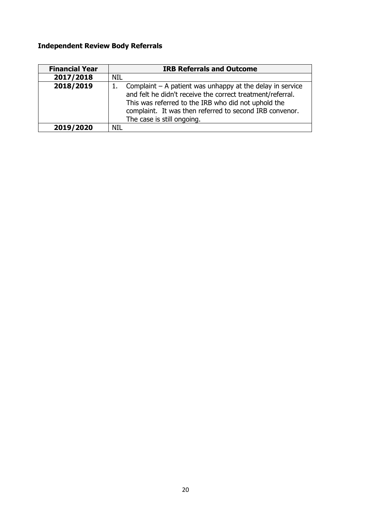| <b>Financial Year</b> | <b>IRB Referrals and Outcome</b>                                                                                                                                                                                                                                          |
|-----------------------|---------------------------------------------------------------------------------------------------------------------------------------------------------------------------------------------------------------------------------------------------------------------------|
| 2017/2018             | NIL                                                                                                                                                                                                                                                                       |
| 2018/2019             | Complaint $-$ A patient was unhappy at the delay in service<br>and felt he didn't receive the correct treatment/referral.<br>This was referred to the IRB who did not uphold the<br>complaint. It was then referred to second IRB convenor.<br>The case is still ongoing. |
| 2019/2020             | NTI                                                                                                                                                                                                                                                                       |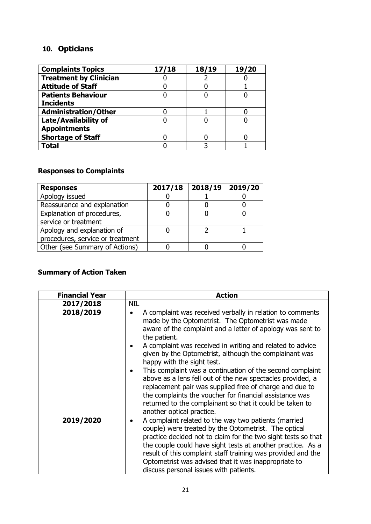# **10. Opticians**

| <b>Complaints Topics</b>      | 17/18 | 18/19 | 19/20 |
|-------------------------------|-------|-------|-------|
| <b>Treatment by Clinician</b> |       |       |       |
| <b>Attitude of Staff</b>      |       |       |       |
| <b>Patients Behaviour</b>     |       |       |       |
| <b>Incidents</b>              |       |       |       |
| <b>Administration/Other</b>   |       |       |       |
| Late/Availability of          |       |       |       |
| <b>Appointments</b>           |       |       |       |
| <b>Shortage of Staff</b>      |       |       |       |
| Total                         |       |       |       |

# **Responses to Complaints**

| <b>Responses</b>                 | 2017/18 | 2018/19 | 2019/20 |
|----------------------------------|---------|---------|---------|
| Apology issued                   |         |         |         |
| Reassurance and explanation      |         |         |         |
| Explanation of procedures,       |         |         |         |
| service or treatment             |         |         |         |
| Apology and explanation of       |         |         |         |
| procedures, service or treatment |         |         |         |
| Other (see Summary of Actions)   |         |         |         |

# **Summary of Action Taken**

| <b>Financial Year</b> | <b>Action</b>                                                                                                                                                                                                                                                                                                                                                                                                                                                                                                                                                                                                                                                                                            |
|-----------------------|----------------------------------------------------------------------------------------------------------------------------------------------------------------------------------------------------------------------------------------------------------------------------------------------------------------------------------------------------------------------------------------------------------------------------------------------------------------------------------------------------------------------------------------------------------------------------------------------------------------------------------------------------------------------------------------------------------|
| 2017/2018             | <b>NIL</b>                                                                                                                                                                                                                                                                                                                                                                                                                                                                                                                                                                                                                                                                                               |
| 2018/2019             | A complaint was received verbally in relation to comments<br>$\bullet$<br>made by the Optometrist. The Optometrist was made<br>aware of the complaint and a letter of apology was sent to<br>the patient.<br>A complaint was received in writing and related to advice<br>given by the Optometrist, although the complainant was<br>happy with the sight test.<br>This complaint was a continuation of the second complaint<br>above as a lens fell out of the new spectacles provided, a<br>replacement pair was supplied free of charge and due to<br>the complaints the voucher for financial assistance was<br>returned to the complainant so that it could be taken to<br>another optical practice. |
| 2019/2020             | A complaint related to the way two patients (married<br>couple) were treated by the Optometrist. The optical<br>practice decided not to claim for the two sight tests so that<br>the couple could have sight tests at another practice. As a<br>result of this complaint staff training was provided and the<br>Optometrist was advised that it was inappropriate to<br>discuss personal issues with patients.                                                                                                                                                                                                                                                                                           |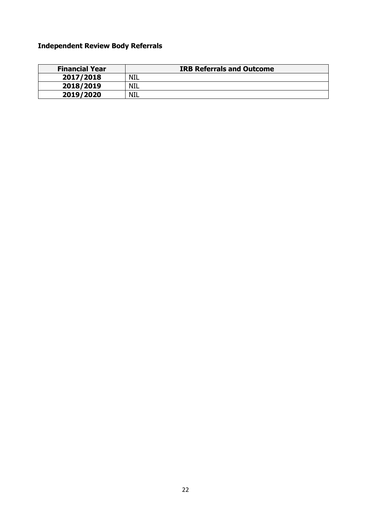| <b>Financial Year</b> | <b>IRB Referrals and Outcome</b> |
|-----------------------|----------------------------------|
| 2017/2018             | NIL                              |
| 2018/2019             | NIL                              |
| 2019/2020             | NIL                              |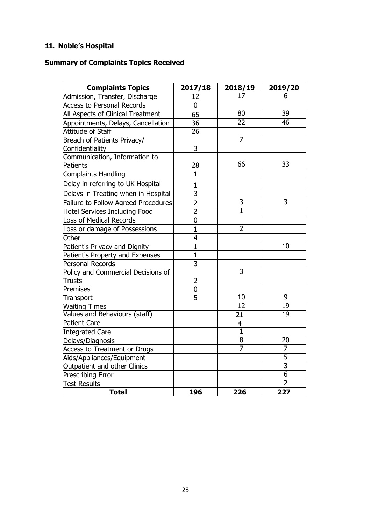# <span id="page-22-0"></span>**11. Noble's Hospital**

# **Summary of Complaints Topics Received**

| <b>Complaints Topics</b>                   | 2017/18        | 2018/19         | 2019/20         |
|--------------------------------------------|----------------|-----------------|-----------------|
| Admission, Transfer, Discharge             | 12             | 17              | 6               |
| <b>Access to Personal Records</b>          | 0              |                 |                 |
| All Aspects of Clinical Treatment          | 65             | 80              | 39              |
| Appointments, Delays, Cancellation         | 36             | $\overline{22}$ | 46              |
| Attitude of Staff                          | 26             |                 |                 |
| Breach of Patients Privacy/                |                | 7               |                 |
| Confidentiality                            | 3              |                 |                 |
| Communication, Information to              |                |                 |                 |
| <b>Patients</b>                            | 28             | 66              | 33              |
| Complaints Handling                        | $\mathbf{1}$   |                 |                 |
| Delay in referring to UK Hospital          | $\mathbf{1}$   |                 |                 |
| Delays in Treating when in Hospital        | $\overline{3}$ |                 |                 |
| <b>Failure to Follow Agreed Procedures</b> | $\overline{2}$ | 3               | $\overline{3}$  |
| <b>Hotel Services Including Food</b>       | $\overline{2}$ | $\overline{1}$  |                 |
| <b>Loss of Medical Records</b>             | $\overline{0}$ |                 |                 |
| Loss or damage of Possessions              | $\mathbf{1}$   | $\overline{2}$  |                 |
| Other                                      | $\overline{4}$ |                 |                 |
| Patient's Privacy and Dignity              | $\mathbf{1}$   |                 | 10              |
| Patient's Property and Expenses            | $\mathbf{1}$   |                 |                 |
| <b>Personal Records</b>                    | 3              |                 |                 |
| Policy and Commercial Decisions of         |                | $\overline{3}$  |                 |
| <b>Trusts</b>                              | 2              |                 |                 |
| <b>Premises</b>                            | 0              |                 |                 |
| Transport                                  | $\overline{5}$ | 10              | 9               |
| <b>Waiting Times</b>                       |                | 12              | $\overline{19}$ |
| Values and Behaviours (staff)              |                | 21              | 19              |
| <b>Patient Care</b>                        |                | $\overline{4}$  |                 |
| <b>Integrated Care</b>                     |                | $\overline{1}$  |                 |
| Delays/Diagnosis                           |                | $\overline{8}$  | $\overline{20}$ |
| <b>Access to Treatment or Drugs</b>        |                | 7               | 7               |
| Aids/Appliances/Equipment                  |                |                 | 5               |
| Outpatient and other Clinics               |                |                 | $\overline{3}$  |
| <b>Prescribing Error</b>                   |                |                 | $\overline{6}$  |
| <b>Test Results</b>                        |                |                 | $\overline{2}$  |
| <b>Total</b>                               | 196            | 226             | 227             |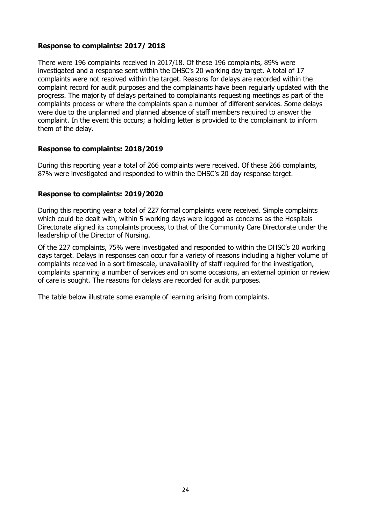### **Response to complaints: 2017/ 2018**

There were 196 complaints received in 2017/18. Of these 196 complaints, 89% were investigated and a response sent within the DHSC's 20 working day target. A total of 17 complaints were not resolved within the target. Reasons for delays are recorded within the complaint record for audit purposes and the complainants have been regularly updated with the progress. The majority of delays pertained to complainants requesting meetings as part of the complaints process or where the complaints span a number of different services. Some delays were due to the unplanned and planned absence of staff members required to answer the complaint. In the event this occurs; a holding letter is provided to the complainant to inform them of the delay.

### **Response to complaints: 2018/2019**

During this reporting year a total of 266 complaints were received. Of these 266 complaints, 87% were investigated and responded to within the DHSC's 20 day response target.

### **Response to complaints: 2019/2020**

During this reporting year a total of 227 formal complaints were received. Simple complaints which could be dealt with, within 5 working days were logged as concerns as the Hospitals Directorate aligned its complaints process, to that of the Community Care Directorate under the leadership of the Director of Nursing.

Of the 227 complaints, 75% were investigated and responded to within the DHSC's 20 working days target. Delays in responses can occur for a variety of reasons including a higher volume of complaints received in a sort timescale, unavailability of staff required for the investigation, complaints spanning a number of services and on some occasions, an external opinion or review of care is sought. The reasons for delays are recorded for audit purposes.

The table below illustrate some example of learning arising from complaints.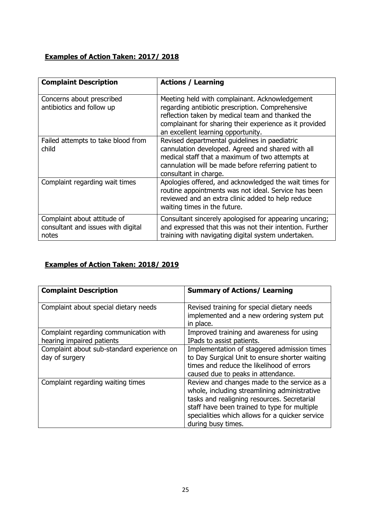# **Examples of Action Taken: 2017/ 2018**

| <b>Complaint Description</b>                                               | <b>Actions / Learning</b>                                                                                                                                                                                                                               |
|----------------------------------------------------------------------------|---------------------------------------------------------------------------------------------------------------------------------------------------------------------------------------------------------------------------------------------------------|
| Concerns about prescribed<br>antibiotics and follow up                     | Meeting held with complainant. Acknowledgement<br>regarding antibiotic prescription. Comprehensive<br>reflection taken by medical team and thanked the<br>complainant for sharing their experience as it provided<br>an excellent learning opportunity. |
| Failed attempts to take blood from<br>child                                | Revised departmental guidelines in paediatric<br>cannulation developed. Agreed and shared with all<br>medical staff that a maximum of two attempts at<br>cannulation will be made before referring patient to<br>consultant in charge.                  |
| Complaint regarding wait times                                             | Apologies offered, and acknowledged the wait times for<br>routine appointments was not ideal. Service has been<br>reviewed and an extra clinic added to help reduce<br>waiting times in the future.                                                     |
| Complaint about attitude of<br>consultant and issues with digital<br>notes | Consultant sincerely apologised for appearing uncaring;<br>and expressed that this was not their intention. Further<br>training with navigating digital system undertaken.                                                                              |

# **Examples of Action Taken: 2018/ 2019**

| <b>Complaint Description</b>                                        | <b>Summary of Actions/ Learning</b>                                                                                                                                                                                                                                 |
|---------------------------------------------------------------------|---------------------------------------------------------------------------------------------------------------------------------------------------------------------------------------------------------------------------------------------------------------------|
| Complaint about special dietary needs                               | Revised training for special dietary needs<br>implemented and a new ordering system put<br>in place.                                                                                                                                                                |
| Complaint regarding communication with<br>hearing impaired patients | Improved training and awareness for using<br>IPads to assist patients.                                                                                                                                                                                              |
| Complaint about sub-standard experience on<br>day of surgery        | Implementation of staggered admission times<br>to Day Surgical Unit to ensure shorter waiting<br>times and reduce the likelihood of errors<br>caused due to peaks in attendance.                                                                                    |
| Complaint regarding waiting times                                   | Review and changes made to the service as a<br>whole, including streamlining administrative<br>tasks and realigning resources. Secretarial<br>staff have been trained to type for multiple<br>specialities which allows for a quicker service<br>during busy times. |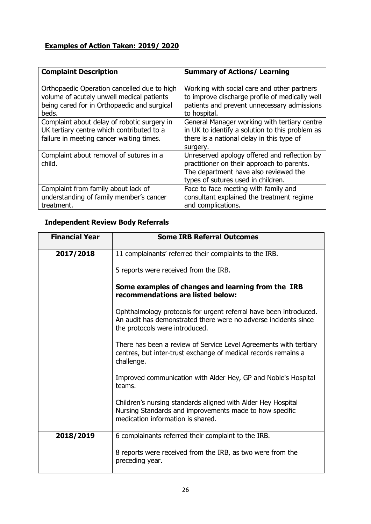# **Examples of Action Taken: 2019/ 2020**

| <b>Complaint Description</b>                                                                                                                     | <b>Summary of Actions/ Learning</b>                                                                                                                                       |
|--------------------------------------------------------------------------------------------------------------------------------------------------|---------------------------------------------------------------------------------------------------------------------------------------------------------------------------|
| Orthopaedic Operation cancelled due to high<br>volume of acutely unwell medical patients<br>being cared for in Orthopaedic and surgical<br>beds. | Working with social care and other partners<br>to improve discharge profile of medically well<br>patients and prevent unnecessary admissions<br>to hospital.              |
| Complaint about delay of robotic surgery in<br>UK tertiary centre which contributed to a<br>failure in meeting cancer waiting times.             | General Manager working with tertiary centre<br>in UK to identify a solution to this problem as<br>there is a national delay in this type of<br>surgery.                  |
| Complaint about removal of sutures in a<br>child.                                                                                                | Unreserved apology offered and reflection by<br>practitioner on their approach to parents.<br>The department have also reviewed the<br>types of sutures used in children. |
| Complaint from family about lack of<br>understanding of family member's cancer<br>treatment.                                                     | Face to face meeting with family and<br>consultant explained the treatment regime<br>and complications.                                                                   |

| <b>Financial Year</b> | <b>Some IRB Referral Outcomes</b>                                                                                                                                      |
|-----------------------|------------------------------------------------------------------------------------------------------------------------------------------------------------------------|
| 2017/2018             | 11 complainants' referred their complaints to the IRB.                                                                                                                 |
|                       | 5 reports were received from the IRB.                                                                                                                                  |
|                       | Some examples of changes and learning from the IRB<br>recommendations are listed below:                                                                                |
|                       | Ophthalmology protocols for urgent referral have been introduced.<br>An audit has demonstrated there were no adverse incidents since<br>the protocols were introduced. |
|                       | There has been a review of Service Level Agreements with tertiary<br>centres, but inter-trust exchange of medical records remains a<br>challenge.                      |
|                       | Improved communication with Alder Hey, GP and Noble's Hospital<br>teams.                                                                                               |
|                       | Children's nursing standards aligned with Alder Hey Hospital<br>Nursing Standards and improvements made to how specific<br>medication information is shared.           |
| 2018/2019             | 6 complainants referred their complaint to the IRB.                                                                                                                    |
|                       | 8 reports were received from the IRB, as two were from the<br>preceding year.                                                                                          |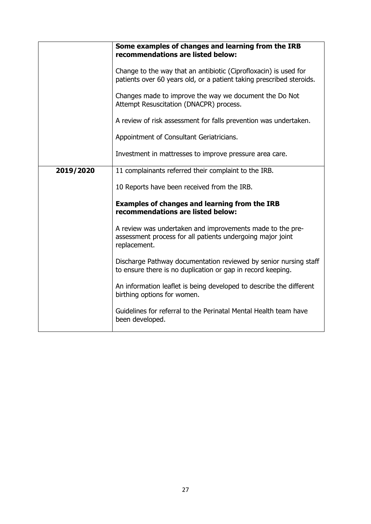|           | Some examples of changes and learning from the IRB<br>recommendations are listed below:                                                  |
|-----------|------------------------------------------------------------------------------------------------------------------------------------------|
|           | Change to the way that an antibiotic (Ciprofloxacin) is used for<br>patients over 60 years old, or a patient taking prescribed steroids. |
|           | Changes made to improve the way we document the Do Not<br>Attempt Resuscitation (DNACPR) process.                                        |
|           | A review of risk assessment for falls prevention was undertaken.                                                                         |
|           | Appointment of Consultant Geriatricians.                                                                                                 |
|           | Investment in mattresses to improve pressure area care.                                                                                  |
| 2019/2020 | 11 complainants referred their complaint to the IRB.                                                                                     |
|           | 10 Reports have been received from the IRB.                                                                                              |
|           | <b>Examples of changes and learning from the IRB</b><br>recommendations are listed below:                                                |
|           | A review was undertaken and improvements made to the pre-<br>assessment process for all patients undergoing major joint<br>replacement.  |
|           | Discharge Pathway documentation reviewed by senior nursing staff<br>to ensure there is no duplication or gap in record keeping.          |
|           | An information leaflet is being developed to describe the different<br>birthing options for women.                                       |
|           | Guidelines for referral to the Perinatal Mental Health team have<br>been developed.                                                      |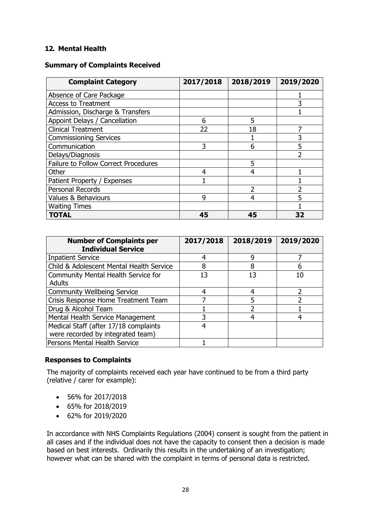### <span id="page-27-0"></span>**12. Mental Health**

### **Summary of Complaints Received**

| <b>Complaint Category</b>                   | 2017/2018 | 2018/2019 | 2019/2020 |
|---------------------------------------------|-----------|-----------|-----------|
| Absence of Care Package                     |           |           |           |
| <b>Access to Treatment</b>                  |           |           |           |
| Admission, Discharge & Transfers            |           |           |           |
| Appoint Delays / Cancellation               | 6         | 5         |           |
| <b>Clinical Treatment</b>                   | 22        | 18        |           |
| <b>Commissioning Services</b>               |           |           |           |
| Communication                               | 3         | 6         | 5         |
| Delays/Diagnosis                            |           |           | っ         |
| <b>Failure to Follow Correct Procedures</b> |           | 5         |           |
| Other                                       | 4         | 4         |           |
| Patient Property / Expenses                 |           |           |           |
| Personal Records                            |           | ว         |           |
| <b>Values &amp; Behaviours</b>              | 9         | 4         |           |
| <b>Waiting Times</b>                        |           |           |           |
| <b>TOTAL</b>                                | 45        | 45        | 32        |

| <b>Number of Complaints per</b><br><b>Individual Service</b> | 2017/2018 | 2018/2019 | 2019/2020 |
|--------------------------------------------------------------|-----------|-----------|-----------|
| <b>Inpatient Service</b>                                     |           | q         |           |
| Child & Adolescent Mental Health Service                     | 8         | 8         | 6         |
| Community Mental Health Service for                          | 13        | 13        | 10        |
| <b>Adults</b>                                                |           |           |           |
| <b>Community Wellbeing Service</b>                           | 4         | 4         |           |
| Crisis Response Home Treatment Team                          |           | 5         |           |
| Drug & Alcohol Team                                          |           |           |           |
| Mental Health Service Management                             |           |           |           |
| Medical Staff (after 17/18 complaints                        | 4         |           |           |
| were recorded by integrated team)                            |           |           |           |
| Persons Mental Health Service                                |           |           |           |

### **Responses to Complaints**

The majority of complaints received each year have continued to be from a third party (relative / carer for example):

- 56% for 2017/2018
- 65% for 2018/2019
- 62% for 2019/2020

In accordance with NHS Complaints Regulations (2004) consent is sought from the patient in all cases and if the individual does not have the capacity to consent then a decision is made based on best interests. Ordinarily this results in the undertaking of an investigation; however what can be shared with the complaint in terms of personal data is restricted.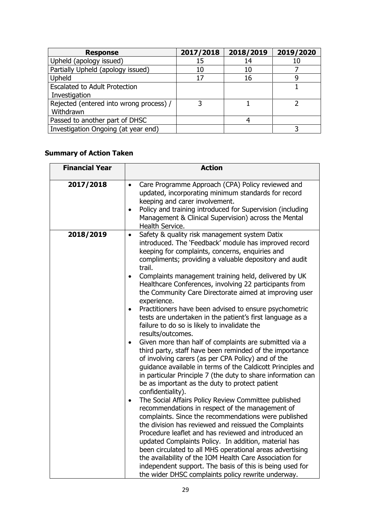| <b>Response</b>                                       | 2017/2018 | 2018/2019 | 2019/2020 |
|-------------------------------------------------------|-----------|-----------|-----------|
| Upheld (apology issued)                               | 15        | 14        | 10        |
| Partially Upheld (apology issued)                     | 10        | 10        |           |
| Upheld                                                | 17        | 16        |           |
| <b>Escalated to Adult Protection</b><br>Investigation |           |           |           |
| Rejected (entered into wrong process) /<br>Withdrawn  | 3         |           |           |
| Passed to another part of DHSC                        |           |           |           |
| Investigation Ongoing (at year end)                   |           |           |           |

# **Summary of Action Taken**

| <b>Financial Year</b> | <b>Action</b>                                                                                                                                                                                                                                                                                                                                                                                                                                                                                                                                                                                                                                                                                                                                                                                                                                                                                                                                                                                                                                                                                                                                                                                                                                                                                                                                                                                                                                                                                                                                                                                                                                               |  |  |
|-----------------------|-------------------------------------------------------------------------------------------------------------------------------------------------------------------------------------------------------------------------------------------------------------------------------------------------------------------------------------------------------------------------------------------------------------------------------------------------------------------------------------------------------------------------------------------------------------------------------------------------------------------------------------------------------------------------------------------------------------------------------------------------------------------------------------------------------------------------------------------------------------------------------------------------------------------------------------------------------------------------------------------------------------------------------------------------------------------------------------------------------------------------------------------------------------------------------------------------------------------------------------------------------------------------------------------------------------------------------------------------------------------------------------------------------------------------------------------------------------------------------------------------------------------------------------------------------------------------------------------------------------------------------------------------------------|--|--|
| 2017/2018             | Care Programme Approach (CPA) Policy reviewed and<br>$\bullet$<br>updated, incorporating minimum standards for record<br>keeping and carer involvement.<br>Policy and training introduced for Supervision (including<br>Management & Clinical Supervision) across the Mental<br>Health Service.                                                                                                                                                                                                                                                                                                                                                                                                                                                                                                                                                                                                                                                                                                                                                                                                                                                                                                                                                                                                                                                                                                                                                                                                                                                                                                                                                             |  |  |
| 2018/2019             | Safety & quality risk management system Datix<br>$\bullet$<br>introduced. The 'Feedback' module has improved record<br>keeping for complaints, concerns, enquiries and<br>compliments; providing a valuable depository and audit<br>trail.<br>Complaints management training held, delivered by UK<br>$\bullet$<br>Healthcare Conferences, involving 22 participants from<br>the Community Care Directorate aimed at improving user<br>experience.<br>Practitioners have been advised to ensure psychometric<br>$\bullet$<br>tests are undertaken in the patient's first language as a<br>failure to do so is likely to invalidate the<br>results/outcomes.<br>Given more than half of complaints are submitted via a<br>$\bullet$<br>third party, staff have been reminded of the importance<br>of involving carers (as per CPA Policy) and of the<br>guidance available in terms of the Caldicott Principles and<br>in particular Principle 7 (the duty to share information can<br>be as important as the duty to protect patient<br>confidentiality).<br>The Social Affairs Policy Review Committee published<br>$\bullet$<br>recommendations in respect of the management of<br>complaints. Since the recommendations were published<br>the division has reviewed and reissued the Complaints<br>Procedure leaflet and has reviewed and introduced an<br>updated Complaints Policy. In addition, material has<br>been circulated to all MHS operational areas advertising<br>the availability of the IOM Health Care Association for<br>independent support. The basis of this is being used for<br>the wider DHSC complaints policy rewrite underway. |  |  |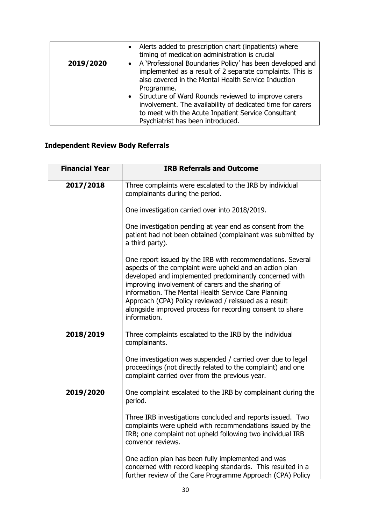|           | Alerts added to prescription chart (inpatients) where<br>timing of medication administration is crucial                                                                                                                                                                                                                                                                                                        |  |
|-----------|----------------------------------------------------------------------------------------------------------------------------------------------------------------------------------------------------------------------------------------------------------------------------------------------------------------------------------------------------------------------------------------------------------------|--|
| 2019/2020 | • A 'Professional Boundaries Policy' has been developed and<br>implemented as a result of 2 separate complaints. This is<br>also covered in the Mental Health Service Induction<br>Programme.<br>Structure of Ward Rounds reviewed to improve carers<br>involvement. The availability of dedicated time for carers<br>to meet with the Acute Inpatient Service Consultant<br>Psychiatrist has been introduced. |  |

| <b>Financial Year</b> | <b>IRB Referrals and Outcome</b>                                                                                                                                                                                                                                                                                                                                                                                                    |  |  |
|-----------------------|-------------------------------------------------------------------------------------------------------------------------------------------------------------------------------------------------------------------------------------------------------------------------------------------------------------------------------------------------------------------------------------------------------------------------------------|--|--|
| 2017/2018             | Three complaints were escalated to the IRB by individual<br>complainants during the period.                                                                                                                                                                                                                                                                                                                                         |  |  |
|                       | One investigation carried over into 2018/2019.                                                                                                                                                                                                                                                                                                                                                                                      |  |  |
|                       | One investigation pending at year end as consent from the<br>patient had not been obtained (complainant was submitted by<br>a third party).                                                                                                                                                                                                                                                                                         |  |  |
|                       | One report issued by the IRB with recommendations. Several<br>aspects of the complaint were upheld and an action plan<br>developed and implemented predominantly concerned with<br>improving involvement of carers and the sharing of<br>information. The Mental Health Service Care Planning<br>Approach (CPA) Policy reviewed / reissued as a result<br>alongside improved process for recording consent to share<br>information. |  |  |
| 2018/2019             | Three complaints escalated to the IRB by the individual<br>complainants.                                                                                                                                                                                                                                                                                                                                                            |  |  |
|                       | One investigation was suspended / carried over due to legal<br>proceedings (not directly related to the complaint) and one<br>complaint carried over from the previous year.                                                                                                                                                                                                                                                        |  |  |
| 2019/2020             | One complaint escalated to the IRB by complainant during the<br>period.                                                                                                                                                                                                                                                                                                                                                             |  |  |
|                       | Three IRB investigations concluded and reports issued. Two<br>complaints were upheld with recommendations issued by the<br>IRB; one complaint not upheld following two individual IRB<br>convenor reviews.                                                                                                                                                                                                                          |  |  |
|                       | One action plan has been fully implemented and was<br>concerned with record keeping standards. This resulted in a<br>further review of the Care Programme Approach (CPA) Policy                                                                                                                                                                                                                                                     |  |  |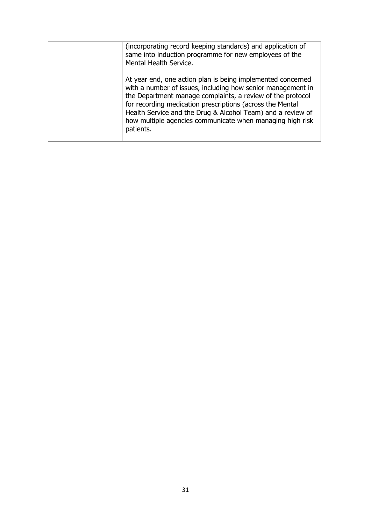| (incorporating record keeping standards) and application of<br>same into induction programme for new employees of the<br>Mental Health Service.                                                                                                                                                                                                                                                |
|------------------------------------------------------------------------------------------------------------------------------------------------------------------------------------------------------------------------------------------------------------------------------------------------------------------------------------------------------------------------------------------------|
| At year end, one action plan is being implemented concerned<br>with a number of issues, including how senior management in<br>the Department manage complaints, a review of the protocol<br>for recording medication prescriptions (across the Mental<br>Health Service and the Drug & Alcohol Team) and a review of<br>how multiple agencies communicate when managing high risk<br>patients. |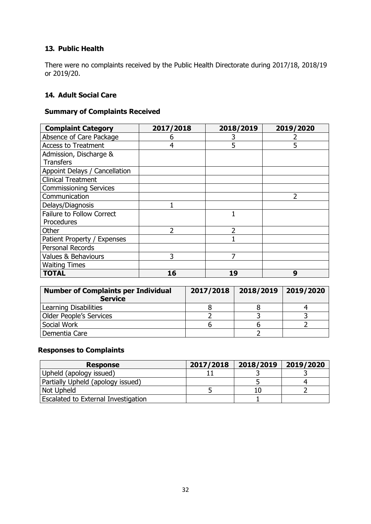### **13. Public Health**

There were no complaints received by the Public Health Directorate during 2017/18, 2018/19 or 2019/20.

### <span id="page-31-0"></span>**14. Adult Social Care**

### **Summary of Complaints Received**

| <b>Complaint Category</b>        | 2017/2018 | 2018/2019 | 2019/2020 |
|----------------------------------|-----------|-----------|-----------|
| Absence of Care Package          | 6         |           |           |
| <b>Access to Treatment</b>       | 4         | 5         | 5         |
| Admission, Discharge &           |           |           |           |
| <b>Transfers</b>                 |           |           |           |
| Appoint Delays / Cancellation    |           |           |           |
| <b>Clinical Treatment</b>        |           |           |           |
| <b>Commissioning Services</b>    |           |           |           |
| Communication                    |           |           | フ         |
| Delays/Diagnosis                 |           |           |           |
| <b>Failure to Follow Correct</b> |           |           |           |
| Procedures                       |           |           |           |
| Other                            | 2         | フ         |           |
| Patient Property / Expenses      |           |           |           |
| Personal Records                 |           |           |           |
| Values & Behaviours              | 3         |           |           |
| <b>Waiting Times</b>             |           |           |           |
| TOTAL                            | 16        | 19        | 9         |

| <b>Number of Complaints per Individual</b><br><b>Service</b> | 2017/2018 | 2018/2019   2019/2020 |  |
|--------------------------------------------------------------|-----------|-----------------------|--|
| Learning Disabilities                                        |           |                       |  |
| Older People's Services                                      |           |                       |  |
| <b>Social Work</b>                                           |           |                       |  |
| Dementia Care                                                |           |                       |  |

# **Responses to Complaints**

| <b>Response</b>                     | 2017/2018 | 2018/2019 | 2019/2020 |
|-------------------------------------|-----------|-----------|-----------|
| Upheld (apology issued)             |           |           |           |
| Partially Upheld (apology issued)   |           |           |           |
| Not Upheld                          |           |           |           |
| Escalated to External Investigation |           |           |           |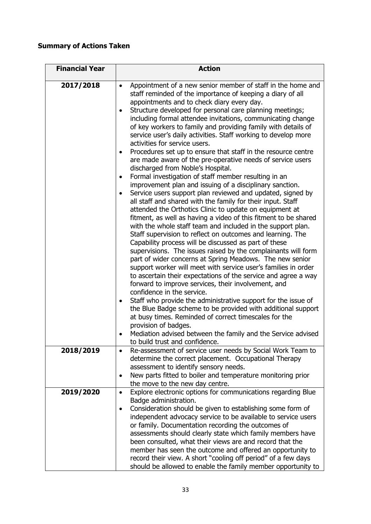# **Summary of Actions Taken**

| <b>Financial Year</b> | <b>Action</b>                                                                                                                                                                                                                                                                                                                                                                                                                                                                                                                                                                                                                                                                                                                                                                                                                                                                                                                                                                                                                                                                                                                                                                                                                                                                                                                                                                                                                                                                                                                                                                                                                                                                                                                                                                                                                                                                                                            |
|-----------------------|--------------------------------------------------------------------------------------------------------------------------------------------------------------------------------------------------------------------------------------------------------------------------------------------------------------------------------------------------------------------------------------------------------------------------------------------------------------------------------------------------------------------------------------------------------------------------------------------------------------------------------------------------------------------------------------------------------------------------------------------------------------------------------------------------------------------------------------------------------------------------------------------------------------------------------------------------------------------------------------------------------------------------------------------------------------------------------------------------------------------------------------------------------------------------------------------------------------------------------------------------------------------------------------------------------------------------------------------------------------------------------------------------------------------------------------------------------------------------------------------------------------------------------------------------------------------------------------------------------------------------------------------------------------------------------------------------------------------------------------------------------------------------------------------------------------------------------------------------------------------------------------------------------------------------|
| 2017/2018             | Appointment of a new senior member of staff in the home and<br>$\bullet$<br>staff reminded of the importance of keeping a diary of all<br>appointments and to check diary every day.<br>Structure developed for personal care planning meetings;<br>including formal attendee invitations, communicating change<br>of key workers to family and providing family with details of<br>service user's daily activities. Staff working to develop more<br>activities for service users.<br>Procedures set up to ensure that staff in the resource centre<br>٠<br>are made aware of the pre-operative needs of service users<br>discharged from Noble's Hospital.<br>Formal investigation of staff member resulting in an<br>$\bullet$<br>improvement plan and issuing of a disciplinary sanction.<br>Service users support plan reviewed and updated, signed by<br>all staff and shared with the family for their input. Staff<br>attended the Orthotics Clinic to update on equipment at<br>fitment, as well as having a video of this fitment to be shared<br>with the whole staff team and included in the support plan.<br>Staff supervision to reflect on outcomes and learning. The<br>Capability process will be discussed as part of these<br>supervisions. The issues raised by the complainants will form<br>part of wider concerns at Spring Meadows. The new senior<br>support worker will meet with service user's families in order<br>to ascertain their expectations of the service and agree a way<br>forward to improve services, their involvement, and<br>confidence in the service.<br>Staff who provide the administrative support for the issue of<br>the Blue Badge scheme to be provided with additional support<br>at busy times. Reminded of correct timescales for the<br>provision of badges.<br>Mediation advised between the family and the Service advised<br>to build trust and confidence. |
| 2018/2019             | Re-assessment of service user needs by Social Work Team to<br>٠<br>determine the correct placement. Occupational Therapy<br>assessment to identify sensory needs.<br>New parts fitted to boiler and temperature monitoring prior<br>the move to the new day centre.                                                                                                                                                                                                                                                                                                                                                                                                                                                                                                                                                                                                                                                                                                                                                                                                                                                                                                                                                                                                                                                                                                                                                                                                                                                                                                                                                                                                                                                                                                                                                                                                                                                      |
| 2019/2020             | Explore electronic options for communications regarding Blue<br>$\bullet$<br>Badge administration.<br>Consideration should be given to establishing some form of<br>independent advocacy service to be available to service users<br>or family. Documentation recording the outcomes of<br>assessments should clearly state which family members have<br>been consulted, what their views are and record that the<br>member has seen the outcome and offered an opportunity to<br>record their view. A short "cooling off period" of a few days<br>should be allowed to enable the family member opportunity to                                                                                                                                                                                                                                                                                                                                                                                                                                                                                                                                                                                                                                                                                                                                                                                                                                                                                                                                                                                                                                                                                                                                                                                                                                                                                                          |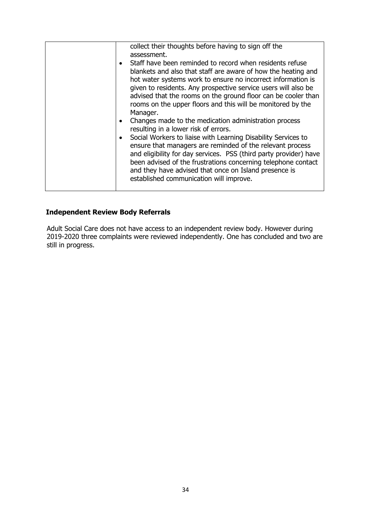| collect their thoughts before having to sign off the<br>assessment.                                                                                                                                                                                                                                                                                                                                     |
|---------------------------------------------------------------------------------------------------------------------------------------------------------------------------------------------------------------------------------------------------------------------------------------------------------------------------------------------------------------------------------------------------------|
| Staff have been reminded to record when residents refuse<br>blankets and also that staff are aware of how the heating and<br>hot water systems work to ensure no incorrect information is<br>given to residents. Any prospective service users will also be<br>advised that the rooms on the ground floor can be cooler than<br>rooms on the upper floors and this will be monitored by the<br>Manager. |
| Changes made to the medication administration process<br>resulting in a lower risk of errors.                                                                                                                                                                                                                                                                                                           |
|                                                                                                                                                                                                                                                                                                                                                                                                         |
| Social Workers to liaise with Learning Disability Services to<br>ensure that managers are reminded of the relevant process<br>and eligibility for day services. PSS (third party provider) have<br>been advised of the frustrations concerning telephone contact<br>and they have advised that once on Island presence is<br>established communication will improve.                                    |
|                                                                                                                                                                                                                                                                                                                                                                                                         |

Adult Social Care does not have access to an independent review body. However during 2019-2020 three complaints were reviewed independently. One has concluded and two are still in progress.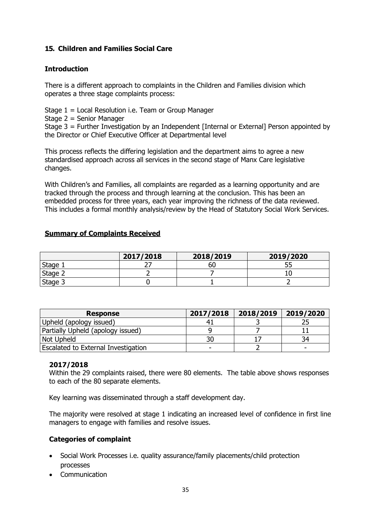### <span id="page-34-0"></span>**15. Children and Families Social Care**

### **Introduction**

There is a different approach to complaints in the Children and Families division which operates a three stage complaints process:

Stage 1 = Local Resolution i.e. Team or Group Manager

Stage 2 = Senior Manager

Stage 3 = Further Investigation by an Independent [Internal or External] Person appointed by the Director or Chief Executive Officer at Departmental level

This process reflects the differing legislation and the department aims to agree a new standardised approach across all services in the second stage of Manx Care legislative changes.

With Children's and Families, all complaints are regarded as a learning opportunity and are tracked through the process and through learning at the conclusion. This has been an embedded process for three years, each year improving the richness of the data reviewed. This includes a formal monthly analysis/review by the Head of Statutory Social Work Services.

### **Summary of Complaints Received**

|                             | 2017/2018 | 2018/2019 | 2019/2020 |
|-----------------------------|-----------|-----------|-----------|
| Stage                       |           | bυ        | ر ر       |
| Stage 2                     |           |           | τu        |
| ີ <sup>+</sup> ຈ∩A<br>oldyc |           |           |           |

| <b>Response</b>                     | 2017/2018 | 2018/2019 | 2019/2020 |
|-------------------------------------|-----------|-----------|-----------|
| Upheld (apology issued)             |           |           |           |
| Partially Upheld (apology issued)   |           |           |           |
| Not Upheld                          | 30        |           | 34        |
| Escalated to External Investigation | -         |           |           |

### **2017/2018**

Within the 29 complaints raised, there were 80 elements. The table above shows responses to each of the 80 separate elements.

Key learning was disseminated through a staff development day.

The majority were resolved at stage 1 indicating an increased level of confidence in first line managers to engage with families and resolve issues.

### **Categories of complaint**

- Social Work Processes i.e. quality assurance/family placements/child protection processes
- Communication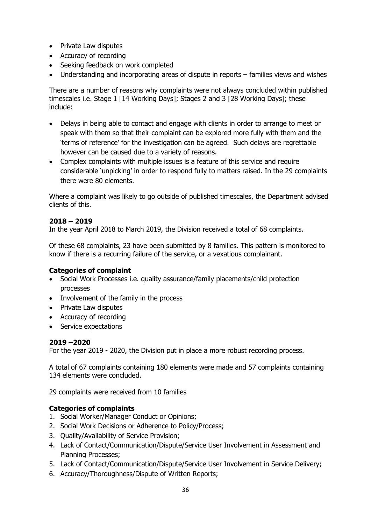- Private Law disputes
- Accuracy of recording
- Seeking feedback on work completed
- Understanding and incorporating areas of dispute in reports families views and wishes

There are a number of reasons why complaints were not always concluded within published timescales i.e. Stage 1 [14 Working Days]; Stages 2 and 3 [28 Working Days]; these include:

- Delays in being able to contact and engage with clients in order to arrange to meet or speak with them so that their complaint can be explored more fully with them and the 'terms of reference' for the investigation can be agreed. Such delays are regrettable however can be caused due to a variety of reasons.
- Complex complaints with multiple issues is a feature of this service and require considerable 'unpicking' in order to respond fully to matters raised. In the 29 complaints there were 80 elements.

Where a complaint was likely to go outside of published timescales, the Department advised clients of this.

### **2018 – 2019**

In the year April 2018 to March 2019, the Division received a total of 68 complaints.

Of these 68 complaints, 23 have been submitted by 8 families. This pattern is monitored to know if there is a recurring failure of the service, or a vexatious complainant.

### **Categories of complaint**

- Social Work Processes i.e. quality assurance/family placements/child protection processes
- Involvement of the family in the process
- Private Law disputes
- Accuracy of recording
- Service expectations

### **2019 –2020**

For the year 2019 - 2020, the Division put in place a more robust recording process.

A total of 67 complaints containing 180 elements were made and 57 complaints containing 134 elements were concluded.

29 complaints were received from 10 families

### **Categories of complaints**

- 1. Social Worker/Manager Conduct or Opinions;
- 2. Social Work Decisions or Adherence to Policy/Process;
- 3. Quality/Availability of Service Provision;
- 4. Lack of Contact/Communication/Dispute/Service User Involvement in Assessment and Planning Processes;
- 5. Lack of Contact/Communication/Dispute/Service User Involvement in Service Delivery;
- 6. Accuracy/Thoroughness/Dispute of Written Reports;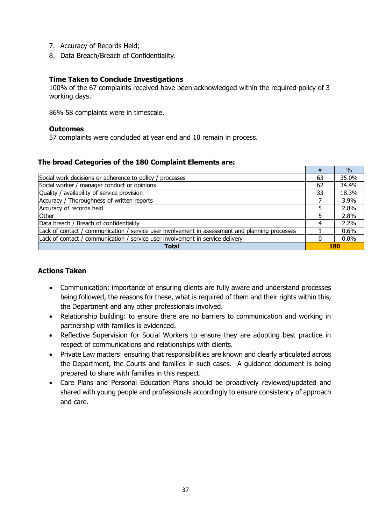- 7. Accuracy of Records Held;
- 8. Data Breach/Breach of Confidentiality.

### **Time Taken to Conclude Investigations**

100% of the 67 complaints received have been acknowledged within the required policy of 3 working days.

86% 58 complaints were in timescale.

#### **Outcomes**

57 complaints were concluded at year end and 10 remain in process.

### **The broad Categories of the 180 Complaint Elements are:**

|                                                                                                 | $\pi$ | 70.        |  |
|-------------------------------------------------------------------------------------------------|-------|------------|--|
| Social work decisions or adherence to policy / processes                                        | 63    | 35.0%      |  |
| Social worker / manager conduct or opinions                                                     | 62    | 34.4%      |  |
| Quality / availability of service provision                                                     | 33    | 18.3%      |  |
| Accuracy / Thoroughness of written reports                                                      |       | 3.9%       |  |
| Accuracy of records held                                                                        |       | 2.8%       |  |
| Other                                                                                           |       | 2.8%       |  |
| Data breach / Breach of confidentiality                                                         | 4     | 2.2%       |  |
| Lack of contact / communication / service user involvement in assessment and planning processes |       | 0.6%       |  |
| Lack of contact / communication / service user involvement in service delivery                  |       | $0.0\%$    |  |
| <b>Total</b>                                                                                    |       | <b>180</b> |  |

 $\frac{1}{2}$   $\frac{1}{2}$   $\frac{1}{2}$   $\frac{1}{2}$   $\frac{1}{2}$   $\frac{1}{2}$   $\frac{1}{2}$   $\frac{1}{2}$   $\frac{1}{2}$   $\frac{1}{2}$   $\frac{1}{2}$   $\frac{1}{2}$   $\frac{1}{2}$   $\frac{1}{2}$   $\frac{1}{2}$   $\frac{1}{2}$   $\frac{1}{2}$   $\frac{1}{2}$   $\frac{1}{2}$   $\frac{1}{2}$   $\frac{1}{2}$   $\frac{1}{2}$ 

### **Actions Taken**

- Communication: importance of ensuring clients are fully aware and understand processes being followed, the reasons for these, what is required of them and their rights within this, the Department and any other professionals involved.
- Relationship building: to ensure there are no barriers to communication and working in partnership with families is evidenced.
- Reflective Supervision for Social Workers to ensure they are adopting best practice in respect of communications and relationships with clients.
- Private Law matters: ensuring that responsibilities are known and clearly articulated across the Department, the Courts and families in such cases. A guidance document is being prepared to share with families in this respect.
- Care Plans and Personal Education Plans should be proactively reviewed/updated and shared with young people and professionals accordingly to ensure consistency of approach and care.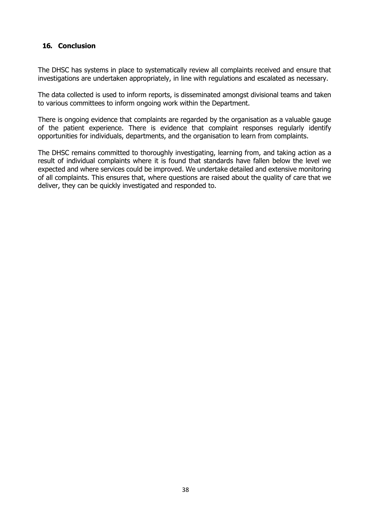### **16. Conclusion**

The DHSC has systems in place to systematically review all complaints received and ensure that investigations are undertaken appropriately, in line with regulations and escalated as necessary.

The data collected is used to inform reports, is disseminated amongst divisional teams and taken to various committees to inform ongoing work within the Department.

There is ongoing evidence that complaints are regarded by the organisation as a valuable gauge of the patient experience. There is evidence that complaint responses regularly identify opportunities for individuals, departments, and the organisation to learn from complaints.

The DHSC remains committed to thoroughly investigating, learning from, and taking action as a result of individual complaints where it is found that standards have fallen below the level we expected and where services could be improved. We undertake detailed and extensive monitoring of all complaints. This ensures that, where questions are raised about the quality of care that we deliver, they can be quickly investigated and responded to.